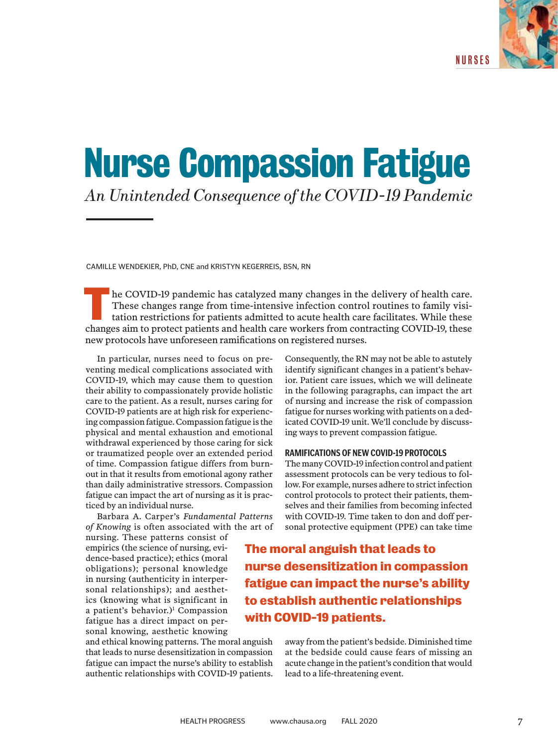

NURSES

## **Nurse Compassion Fatigue** *An Unintended Consequence of the COVID-19 Pandemic*

CAMILLE WENDEKIER, PhD, CNE and KRISTYN KEGERREIS, BSN, RN

These changes aim to protect patients and health care workers from control routines to family visitation restrictions for patients admitted to acute health care facilitates. While these changes aim to protect patients and he COVID-19 pandemic has catalyzed many changes in the delivery of health care. These changes range from time-intensive infection control routines to family visitation restrictions for patients admitted to acute health care facilitates. While these new protocols have unforeseen ramifications on registered nurses.

In particular, nurses need to focus on preventing medical complications associated with COVID-19, which may cause them to question their ability to compassionately provide holistic care to the patient. As a result, nurses caring for COVID-19 patients are at high risk for experiencing compassion fatigue. Compassion fatigue is the physical and mental exhaustion and emotional withdrawal experienced by those caring for sick or traumatized people over an extended period of time. Compassion fatigue differs from burnout in that it results from emotional agony rather than daily administrative stressors. Compassion fatigue can impact the art of nursing as it is practiced by an individual nurse.

Barbara A. Carper's *Fundamental Patterns of Knowing* is often associated with the art of

nursing. These patterns consist of empirics (the science of nursing, evidence-based practice); ethics (moral obligations); personal knowledge in nursing (authenticity in interpersonal relationships); and aesthetics (knowing what is significant in a patient's behavior.)<sup>1</sup> Compassion fatigue has a direct impact on personal knowing, aesthetic knowing

and ethical knowing patterns. The moral anguish that leads to nurse desensitization in compassion fatigue can impact the nurse's ability to establish authentic relationships with COVID-19 patients.

Consequently, the RN may not be able to astutely identify significant changes in a patient's behavior. Patient care issues, which we will delineate in the following paragraphs, can impact the art of nursing and increase the risk of compassion fatigue for nurses working with patients on a dedicated COVID-19 unit. We'll conclude by discussing ways to prevent compassion fatigue.

#### **RAMIFICATIONS OF NEW COVID-19 PROTOCOLS**

The many COVID-19 infection control and patient assessment protocols can be very tedious to follow. For example, nurses adhere to strict infection control protocols to protect their patients, themselves and their families from becoming infected with COVID-19. Time taken to don and doff personal protective equipment (PPE) can take time

**The moral anguish that leads to nurse desensitization in compassion fatigue can impact the nurse's ability to establish authentic relationships with COVID-19 patients.**

> away from the patient's bedside. Diminished time at the bedside could cause fears of missing an acute change in the patient's condition that would lead to a life-threatening event.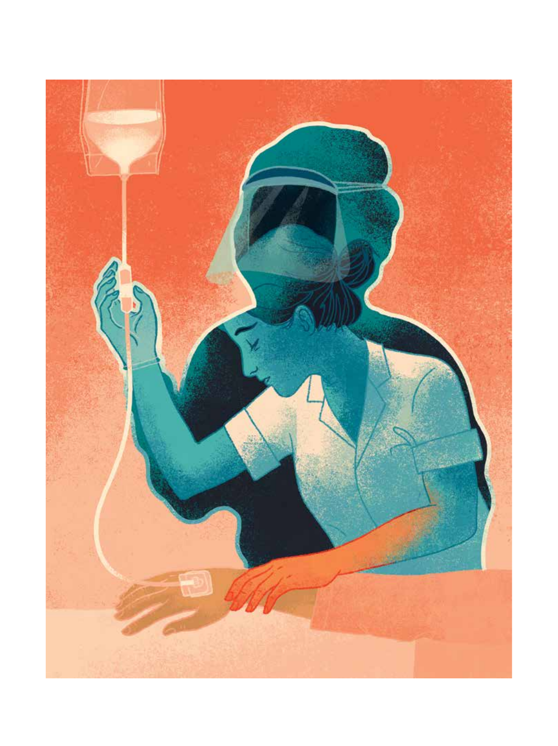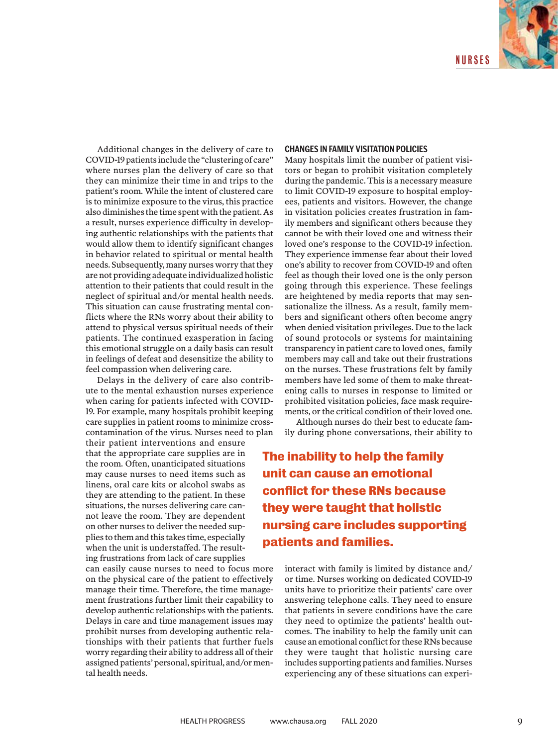Additional changes in the delivery of care to COVID-19 patients include the "clustering of care" where nurses plan the delivery of care so that they can minimize their time in and trips to the patient's room. While the intent of clustered care is to minimize exposure to the virus, this practice also diminishes the time spent with the patient. As a result, nurses experience difficulty in developing authentic relationships with the patients that would allow them to identify significant changes in behavior related to spiritual or mental health needs. Subsequently, many nurses worry that they are not providing adequate individualized holistic attention to their patients that could result in the neglect of spiritual and/or mental health needs. This situation can cause frustrating mental conflicts where the RNs worry about their ability to attend to physical versus spiritual needs of their patients. The continued exasperation in facing this emotional struggle on a daily basis can result in feelings of defeat and desensitize the ability to feel compassion when delivering care.

Delays in the delivery of care also contribute to the mental exhaustion nurses experience when caring for patients infected with COVID-19. For example, many hospitals prohibit keeping care supplies in patient rooms to minimize crosscontamination of the virus. Nurses need to plan

their patient interventions and ensure that the appropriate care supplies are in the room. Often, unanticipated situations may cause nurses to need items such as linens, oral care kits or alcohol swabs as they are attending to the patient. In these situations, the nurses delivering care cannot leave the room. They are dependent on other nurses to deliver the needed supplies to them and this takes time, especially when the unit is understaffed. The resulting frustrations from lack of care supplies

can easily cause nurses to need to focus more on the physical care of the patient to effectively manage their time. Therefore, the time management frustrations further limit their capability to develop authentic relationships with the patients. Delays in care and time management issues may prohibit nurses from developing authentic relationships with their patients that further fuels worry regarding their ability to address all of their assigned patients' personal, spiritual, and/or mental health needs.

### **CHANGES IN FAMILY VISITATION POLICIES**

Many hospitals limit the number of patient visitors or began to prohibit visitation completely during the pandemic. This is a necessary measure to limit COVID-19 exposure to hospital employees, patients and visitors. However, the change in visitation policies creates frustration in family members and significant others because they cannot be with their loved one and witness their loved one's response to the COVID-19 infection. They experience immense fear about their loved one's ability to recover from COVID-19 and often feel as though their loved one is the only person going through this experience. These feelings are heightened by media reports that may sensationalize the illness. As a result, family members and significant others often become angry when denied visitation privileges. Due to the lack of sound protocols or systems for maintaining transparency in patient care to loved ones, family members may call and take out their frustrations on the nurses. These frustrations felt by family members have led some of them to make threatening calls to nurses in response to limited or prohibited visitation policies, face mask requirements, or the critical condition of their loved one.

Although nurses do their best to educate family during phone conversations, their ability to

**The inability to help the family unit can cause an emotional conflict for these RNs because they were taught that holistic nursing care includes supporting patients and families.**

> interact with family is limited by distance and/ or time. Nurses working on dedicated COVID-19 units have to prioritize their patients' care over answering telephone calls. They need to ensure that patients in severe conditions have the care they need to optimize the patients' health outcomes. The inability to help the family unit can cause an emotional conflict for these RNs because they were taught that holistic nursing care includes supporting patients and families. Nurses experiencing any of these situations can experi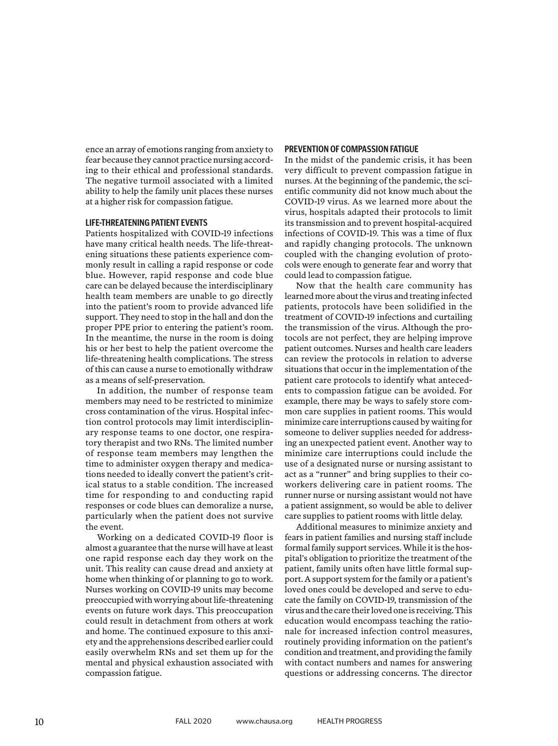ence an array of emotions ranging from anxiety to fear because they cannot practice nursing according to their ethical and professional standards. The negative turmoil associated with a limited ability to help the family unit places these nurses at a higher risk for compassion fatigue.

#### **LIFE-THREATENING PATIENT EVENTS**

Patients hospitalized with COVID-19 infections have many critical health needs. The life-threatening situations these patients experience commonly result in calling a rapid response or code blue. However, rapid response and code blue care can be delayed because the interdisciplinary health team members are unable to go directly into the patient's room to provide advanced life support. They need to stop in the hall and don the proper PPE prior to entering the patient's room. In the meantime, the nurse in the room is doing his or her best to help the patient overcome the life-threatening health complications. The stress of this can cause a nurse to emotionally withdraw as a means of self-preservation.

In addition, the number of response team members may need to be restricted to minimize cross contamination of the virus. Hospital infection control protocols may limit interdisciplinary response teams to one doctor, one respiratory therapist and two RNs. The limited number of response team members may lengthen the time to administer oxygen therapy and medications needed to ideally convert the patient's critical status to a stable condition. The increased time for responding to and conducting rapid responses or code blues can demoralize a nurse, particularly when the patient does not survive the event.

Working on a dedicated COVID-19 floor is almost a guarantee that the nurse will have at least one rapid response each day they work on the unit. This reality can cause dread and anxiety at home when thinking of or planning to go to work. Nurses working on COVID-19 units may become preoccupied with worrying about life-threatening events on future work days. This preoccupation could result in detachment from others at work and home. The continued exposure to this anxiety and the apprehensions described earlier could easily overwhelm RNs and set them up for the mental and physical exhaustion associated with compassion fatigue.

#### **PREVENTION OF COMPASSION FATIGUE**

In the midst of the pandemic crisis, it has been very difficult to prevent compassion fatigue in nurses. At the beginning of the pandemic, the scientific community did not know much about the COVID-19 virus. As we learned more about the virus, hospitals adapted their protocols to limit its transmission and to prevent hospital-acquired infections of COVID-19. This was a time of flux and rapidly changing protocols. The unknown coupled with the changing evolution of protocols were enough to generate fear and worry that could lead to compassion fatigue.

Now that the health care community has learned more about the virus and treating infected patients, protocols have been solidified in the treatment of COVID-19 infections and curtailing the transmission of the virus. Although the protocols are not perfect, they are helping improve patient outcomes. Nurses and health care leaders can review the protocols in relation to adverse situations that occur in the implementation of the patient care protocols to identify what antecedents to compassion fatigue can be avoided. For example, there may be ways to safely store common care supplies in patient rooms. This would minimize care interruptions caused by waiting for someone to deliver supplies needed for addressing an unexpected patient event. Another way to minimize care interruptions could include the use of a designated nurse or nursing assistant to act as a "runner" and bring supplies to their coworkers delivering care in patient rooms. The runner nurse or nursing assistant would not have a patient assignment, so would be able to deliver care supplies to patient rooms with little delay.

Additional measures to minimize anxiety and fears in patient families and nursing staff include formal family support services. While it is the hospital's obligation to prioritize the treatment of the patient, family units often have little formal support. A support system for the family or a patient's loved ones could be developed and serve to educate the family on COVID-19, transmission of the virus and the care their loved one is receiving. This education would encompass teaching the rationale for increased infection control measures, routinely providing information on the patient's condition and treatment, and providing the family with contact numbers and names for answering questions or addressing concerns. The director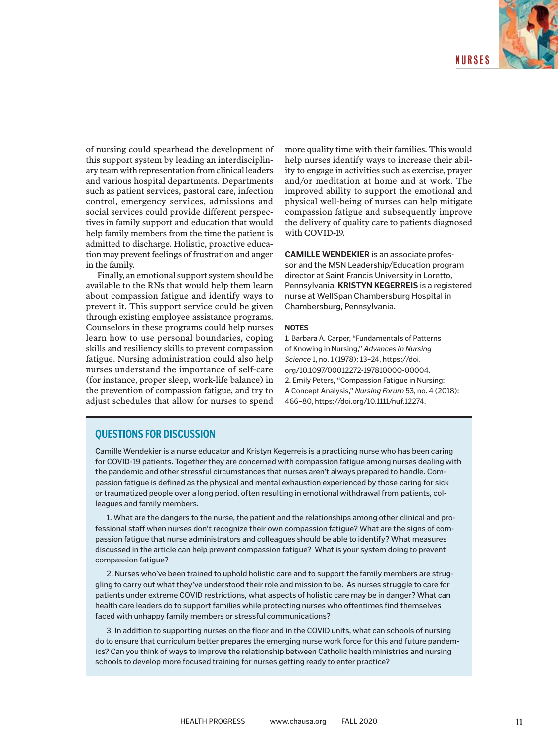of nursing could spearhead the development of this support system by leading an interdisciplinary team with representation from clinical leaders and various hospital departments. Departments such as patient services, pastoral care, infection control, emergency services, admissions and social services could provide different perspectives in family support and education that would help family members from the time the patient is admitted to discharge. Holistic, proactive education may prevent feelings of frustration and anger in the family.

Finally, an emotional support system should be available to the RNs that would help them learn about compassion fatigue and identify ways to prevent it. This support service could be given through existing employee assistance programs. Counselors in these programs could help nurses learn how to use personal boundaries, coping skills and resiliency skills to prevent compassion fatigue. Nursing administration could also help nurses understand the importance of self-care (for instance, proper sleep, work-life balance) in the prevention of compassion fatigue, and try to adjust schedules that allow for nurses to spend more quality time with their families. This would help nurses identify ways to increase their ability to engage in activities such as exercise, prayer and/or meditation at home and at work. The improved ability to support the emotional and physical well-being of nurses can help mitigate compassion fatigue and subsequently improve the delivery of quality care to patients diagnosed with COVID-19.

**CAMILLE WENDEKIER** is an associate professor and the MSN Leadership/Education program director at Saint Francis University in Loretto, Pennsylvania. **KRISTYN KEGERREIS** is a registered nurse at WellSpan Chambersburg Hospital in Chambersburg, Pennsylvania.

#### **NOTES**

1. Barbara A. Carper, "Fundamentals of Patterns of Knowing in Nursing," *Advances in Nursing Science* 1, no. 1 (1978): 13–24, https://doi. org/10.1097/00012272-197810000-00004. 2. Emily Peters, "Compassion Fatigue in Nursing: A Concept Analysis," *Nursing Forum* 53, no. 4 (2018): 466–80, https://doi.org/10.1111/nuf.12274.

### **QUESTIONS FOR DISCUSSION**

Camille Wendekier is a nurse educator and Kristyn Kegerreis is a practicing nurse who has been caring for COVID-19 patients. Together they are concerned with compassion fatigue among nurses dealing with the pandemic and other stressful circumstances that nurses aren't always prepared to handle. Compassion fatigue is defined as the physical and mental exhaustion experienced by those caring for sick or traumatized people over a long period, often resulting in emotional withdrawal from patients, colleagues and family members.

1. What are the dangers to the nurse, the patient and the relationships among other clinical and professional staff when nurses don't recognize their own compassion fatigue? What are the signs of compassion fatigue that nurse administrators and colleagues should be able to identify? What measures discussed in the article can help prevent compassion fatigue? What is your system doing to prevent compassion fatigue?

2. Nurses who've been trained to uphold holistic care and to support the family members are struggling to carry out what they've understood their role and mission to be. As nurses struggle to care for patients under extreme COVID restrictions, what aspects of holistic care may be in danger? What can health care leaders do to support families while protecting nurses who oftentimes find themselves faced with unhappy family members or stressful communications?

3. In addition to supporting nurses on the floor and in the COVID units, what can schools of nursing do to ensure that curriculum better prepares the emerging nurse work force for this and future pandemics? Can you think of ways to improve the relationship between Catholic health ministries and nursing schools to develop more focused training for nurses getting ready to enter practice?